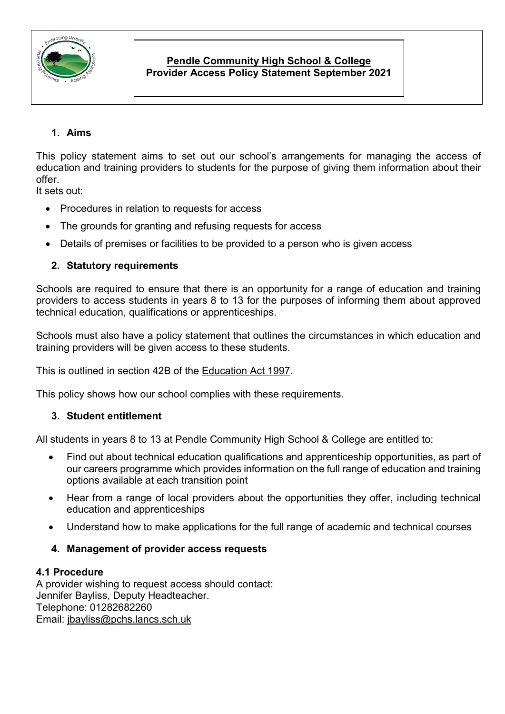

# **Pendle Community High School & College Provider Access Policy Statement September 2021**

# **1. Aims**

This policy statement aims to set out our school's arrangements for managing the access of education and training providers to students for the purpose of giving them information about their offer.

It sets out:

- Procedures in relation to requests for access
- The grounds for granting and refusing requests for access
- Details of premises or facilities to be provided to a person who is given access

# **2. Statutory requirements**

Schools are required to ensure that there is an opportunity for a range of education and training providers to access students in years 8 to 13 for the purposes of informing them about approved technical education, qualifications or apprenticeships.

Schools must also have a policy statement that outlines the circumstances in which education and training providers will be given access to these students.

This is outlined in section 42B of the [Education Act 1997.](https://www.legislation.gov.uk/ukpga/1997/44/section/42B)

This policy shows how our school complies with these requirements.

## **3. Student entitlement**

All students in years 8 to 13 at Pendle Community High School & College are entitled to:

- Find out about technical education qualifications and apprenticeship opportunities, as part of our careers programme which provides information on the full range of education and training options available at each transition point
- Hear from a range of local providers about the opportunities they offer, including technical education and apprenticeships
- Understand how to make applications for the full range of academic and technical courses
- **4. Management of provider access requests**

## **4.1 Procedure**

A provider wishing to request access should contact: Jennifer Bayliss, Deputy Headteacher. Telephone: 01282682260 Email: [jbayliss@pchs.lancs.sch.uk](mailto:jbayliss@pchs.lancs.sch.uk)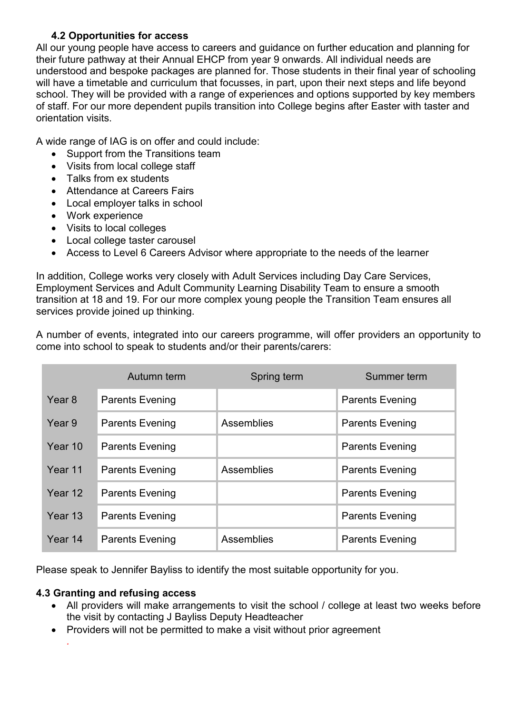## **4.2 Opportunities for access**

All our young people have access to careers and guidance on further education and planning for their future pathway at their Annual EHCP from year 9 onwards. All individual needs are understood and bespoke packages are planned for. Those students in their final year of schooling will have a timetable and curriculum that focusses, in part, upon their next steps and life beyond school. They will be provided with a range of experiences and options supported by key members of staff. For our more dependent pupils transition into College begins after Easter with taster and orientation visits.

A wide range of IAG is on offer and could include:

- Support from the Transitions team
- Visits from local college staff
- Talks from ex students
- Attendance at Careers Fairs
- Local employer talks in school
- Work experience
- Visits to local colleges
- Local college taster carousel
- Access to Level 6 Careers Advisor where appropriate to the needs of the learner

In addition, College works very closely with Adult Services including Day Care Services, Employment Services and Adult Community Learning Disability Team to ensure a smooth transition at 18 and 19. For our more complex young people the Transition Team ensures all services provide joined up thinking.

A number of events, integrated into our careers programme, will offer providers an opportunity to come into school to speak to students and/or their parents/carers:

|         | Autumn term            | Spring term | Summer term            |
|---------|------------------------|-------------|------------------------|
| Year 8  | <b>Parents Evening</b> |             | <b>Parents Evening</b> |
| Year 9  | <b>Parents Evening</b> | Assemblies  | <b>Parents Evening</b> |
| Year 10 | <b>Parents Evening</b> |             | <b>Parents Evening</b> |
| Year 11 | <b>Parents Evening</b> | Assemblies  | <b>Parents Evening</b> |
| Year 12 | <b>Parents Evening</b> |             | <b>Parents Evening</b> |
| Year 13 | <b>Parents Evening</b> |             | <b>Parents Evening</b> |
| Year 14 | <b>Parents Evening</b> | Assemblies  | <b>Parents Evening</b> |

Please speak to Jennifer Bayliss to identify the most suitable opportunity for you.

# **4.3 Granting and refusing access**

*.*

- All providers will make arrangements to visit the school / college at least two weeks before the visit by contacting J Bayliss Deputy Headteacher
- Providers will not be permitted to make a visit without prior agreement